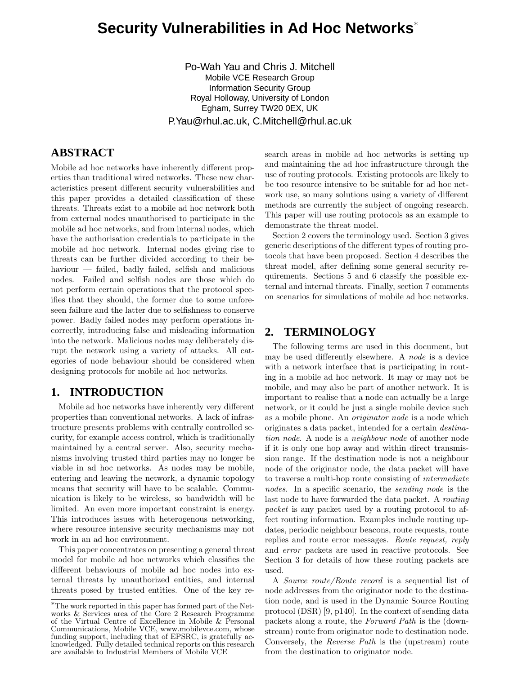# **Security Vulnerabilities in Ad Hoc Networks** ∗

Po-Wah Yau and Chris J. Mitchell Mobile VCE Research Group Information Security Group Royal Holloway, University of London Egham, Surrey TW20 0EX, UK P.Yau@rhul.ac.uk, C.Mitchell@rhul.ac.uk

# **ABSTRACT**

Mobile ad hoc networks have inherently different properties than traditional wired networks. These new characteristics present different security vulnerabilities and this paper provides a detailed classification of these threats. Threats exist to a mobile ad hoc network both from external nodes unauthorised to participate in the mobile ad hoc networks, and from internal nodes, which have the authorisation credentials to participate in the mobile ad hoc network. Internal nodes giving rise to threats can be further divided according to their behaviour — failed, badly failed, selfish and malicious nodes. Failed and selfish nodes are those which do not perform certain operations that the protocol specifies that they should, the former due to some unforeseen failure and the latter due to selfishness to conserve power. Badly failed nodes may perform operations incorrectly, introducing false and misleading information into the network. Malicious nodes may deliberately disrupt the network using a variety of attacks. All categories of node behaviour should be considered when designing protocols for mobile ad hoc networks.

# **1. INTRODUCTION**

Mobile ad hoc networks have inherently very different properties than conventional networks. A lack of infrastructure presents problems with centrally controlled security, for example access control, which is traditionally maintained by a central server. Also, security mechanisms involving trusted third parties may no longer be viable in ad hoc networks. As nodes may be mobile, entering and leaving the network, a dynamic topology means that security will have to be scalable. Communication is likely to be wireless, so bandwidth will be limited. An even more important constraint is energy. This introduces issues with heterogenous networking, where resource intensive security mechanisms may not work in an ad hoc environment.

This paper concentrates on presenting a general threat model for mobile ad hoc networks which classifies the different behaviours of mobile ad hoc nodes into external threats by unauthorized entities, and internal threats posed by trusted entities. One of the key research areas in mobile ad hoc networks is setting up and maintaining the ad hoc infrastructure through the use of routing protocols. Existing protocols are likely to be too resource intensive to be suitable for ad hoc network use, so many solutions using a variety of different methods are currently the subject of ongoing research. This paper will use routing protocols as an example to demonstrate the threat model.

Section 2 covers the terminology used. Section 3 gives generic descriptions of the different types of routing protocols that have been proposed. Section 4 describes the threat model, after defining some general security requirements. Sections 5 and 6 classify the possible external and internal threats. Finally, section 7 comments on scenarios for simulations of mobile ad hoc networks.

# **2. TERMINOLOGY**

The following terms are used in this document, but may be used differently elsewhere. A node is a device with a network interface that is participating in routing in a mobile ad hoc network. It may or may not be mobile, and may also be part of another network. It is important to realise that a node can actually be a large network, or it could be just a single mobile device such as a mobile phone. An originator node is a node which originates a data packet, intended for a certain destination node. A node is a neighbour node of another node if it is only one hop away and within direct transmission range. If the destination node is not a neighbour node of the originator node, the data packet will have to traverse a multi-hop route consisting of intermediate nodes. In a specific scenario, the *sending node* is the last node to have forwarded the data packet. A routing packet is any packet used by a routing protocol to affect routing information. Examples include routing updates, periodic neighbour beacons, route requests, route replies and route error messages. Route request, reply and error packets are used in reactive protocols. See Section 3 for details of how these routing packets are used.

A Source route/Route record is a sequential list of node addresses from the originator node to the destination node, and is used in the Dynamic Source Routing protocol (DSR) [9, p140]. In the context of sending data packets along a route, the Forward Path is the (downstream) route from originator node to destination node. Conversely, the Reverse Path is the (upstream) route from the destination to originator node.

<sup>∗</sup>The work reported in this paper has formed part of the Networks & Services area of the Core 2 Research Programme of the Virtual Centre of Excellence in Mobile & Personal Communications, Mobile VCE, www.mobilevce.com, whose funding support, including that of EPSRC, is gratefully acknowledged. Fully detailed technical reports on this research are available to Industrial Members of Mobile VCE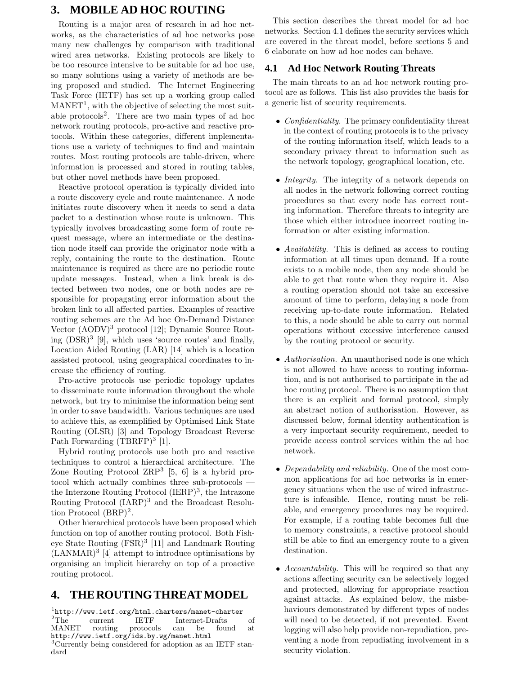# **3. MOBILE AD HOC ROUTING**

Routing is a major area of research in ad hoc networks, as the characteristics of ad hoc networks pose many new challenges by comparison with traditional wired area networks. Existing protocols are likely to be too resource intensive to be suitable for ad hoc use, so many solutions using a variety of methods are being proposed and studied. The Internet Engineering Task Force (IETF) has set up a working group called  $\text{MANET}^1$ , with the objective of selecting the most suitable protocols 2 . There are two main types of ad hoc network routing protocols, pro-active and reactive protocols. Within these categories, different implementations use a variety of techniques to find and maintain routes. Most routing protocols are table-driven, where information is processed and stored in routing tables, but other novel methods have been proposed.

Reactive protocol operation is typically divided into a route discovery cycle and route maintenance. A node initiates route discovery when it needs to send a data packet to a destination whose route is unknown. This typically involves broadcasting some form of route request message, where an intermediate or the destination node itself can provide the originator node with a reply, containing the route to the destination. Route maintenance is required as there are no periodic route update messages. Instead, when a link break is detected between two nodes, one or both nodes are responsible for propagating error information about the broken link to all affected parties. Examples of reactive routing schemes are the Ad hoc On-Demand Distance Vector (AODV) <sup>3</sup> protocol [12]; Dynamic Source Routing (DSR) 3 [9], which uses 'source routes' and finally, Location Aided Routing (LAR) [14] which is a location assisted protocol, using geographical coordinates to increase the efficiency of routing.

Pro-active protocols use periodic topology updates to disseminate route information throughout the whole network, but try to minimise the information being sent in order to save bandwidth. Various techniques are used to achieve this, as exemplified by Optimised Link State Routing (OLSR) [3] and Topology Broadcast Reverse Path Forwarding (TBRFP)<sup>3</sup> [1].

Hybrid routing protocols use both pro and reactive techniques to control a hierarchical architecture. The Zone Routing Protocol  $\text{ZRP}^3$  [5, 6] is a hybrid protocol which actually combines three sub-protocols the Interzone Routing Protocol (IERP) 3 , the Intrazone Routing Protocol (IARP) <sup>3</sup> and the Broadcast Resolution Protocol (BRP) 2 .

Other hierarchical protocols have been proposed which function on top of another routing protocol. Both Fisheye State Routing (FSR) 3 [11] and Landmark Routing  $(LANMAR)^3$  [4] attempt to introduce optimisations by organising an implicit hierarchy on top of a proactive routing protocol.

# **4. THEROUTINGTHREATMODEL**

1 http://www.ietf.org/html.charters/manet-charter <sup>2</sup>The current IETF Internet-Drafts of MANET routing protocols can be found at routing protocols can be found at http://www.ietf.org/ids.by.wg/manet.html <sup>3</sup>Currently being considered for adoption as an IETF standard

This section describes the threat model for ad hoc networks. Section 4.1 defines the security services which are covered in the threat model, before sections 5 and 6 elaborate on how ad hoc nodes can behave.

## **4.1 Ad Hoc Network Routing Threats**

The main threats to an ad hoc network routing protocol are as follows. This list also provides the basis for a generic list of security requirements.

- Confidentiality. The primary confidentiality threat in the context of routing protocols is to the privacy of the routing information itself, which leads to a secondary privacy threat to information such as the network topology, geographical location, etc.
- *Integrity*. The integrity of a network depends on all nodes in the network following correct routing procedures so that every node has correct routing information. Therefore threats to integrity are those which either introduce incorrect routing information or alter existing information.
- Availability. This is defined as access to routing information at all times upon demand. If a route exists to a mobile node, then any node should be able to get that route when they require it. Also a routing operation should not take an excessive amount of time to perform, delaying a node from receiving up-to-date route information. Related to this, a node should be able to carry out normal operations without excessive interference caused by the routing protocol or security.
- *Authorisation*. An unauthorised node is one which is not allowed to have access to routing information, and is not authorised to participate in the ad hoc routing protocol. There is no assumption that there is an explicit and formal protocol, simply an abstract notion of authorisation. However, as discussed below, formal identity authentication is a very important security requirement, needed to provide access control services within the ad hoc network.
- Dependability and reliability. One of the most common applications for ad hoc networks is in emergency situations when the use of wired infrastructure is infeasible. Hence, routing must be reliable, and emergency procedures may be required. For example, if a routing table becomes full due to memory constraints, a reactive protocol should still be able to find an emergency route to a given destination.
- Accountability. This will be required so that any actions affecting security can be selectively logged and protected, allowing for appropriate reaction against attacks. As explained below, the misbehaviours demonstrated by different types of nodes will need to be detected, if not prevented. Event logging will also help provide non-repudiation, preventing a node from repudiating involvement in a security violation.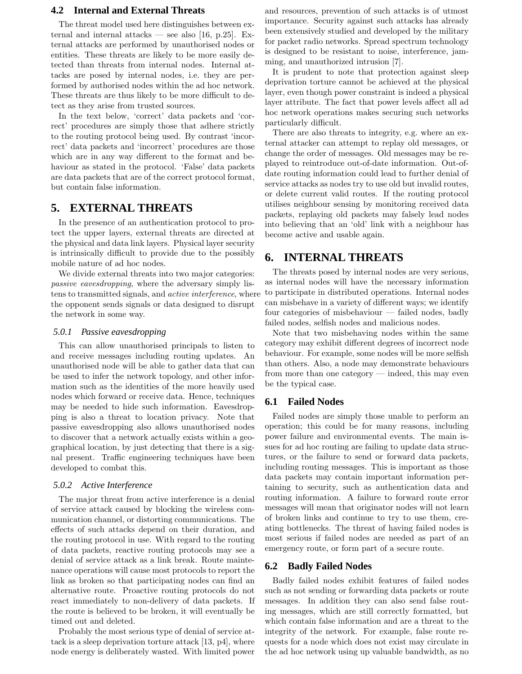## **4.2 Internal and External Threats**

The threat model used here distinguishes between external and internal attacks — see also [16, p.25]. External attacks are performed by unauthorised nodes or entities. These threats are likely to be more easily detected than threats from internal nodes. Internal attacks are posed by internal nodes, i.e. they are performed by authorised nodes within the ad hoc network. These threats are thus likely to be more difficult to detect as they arise from trusted sources.

In the text below, 'correct' data packets and 'correct' procedures are simply those that adhere strictly to the routing protocol being used. By contrast 'incorrect' data packets and 'incorrect' procedures are those which are in any way different to the format and behaviour as stated in the protocol. 'False' data packets are data packets that are of the correct protocol format, but contain false information.

# **5. EXTERNAL THREATS**

In the presence of an authentication protocol to protect the upper layers, external threats are directed at the physical and data link layers. Physical layer security is intrinsically difficult to provide due to the possibly mobile nature of ad hoc nodes.

We divide external threats into two major categories: passive eavesdropping, where the adversary simply listens to transmitted signals, and active interference, where the opponent sends signals or data designed to disrupt the network in some way.

#### *5.0.1 Passive eavesdropping*

This can allow unauthorised principals to listen to and receive messages including routing updates. An unauthorised node will be able to gather data that can be used to infer the network topology, and other information such as the identities of the more heavily used nodes which forward or receive data. Hence, techniques may be needed to hide such information. Eavesdropping is also a threat to location privacy. Note that passive eavesdropping also allows unauthorised nodes to discover that a network actually exists within a geographical location, by just detecting that there is a signal present. Traffic engineering techniques have been developed to combat this.

#### *5.0.2 Active Interference*

The major threat from active interference is a denial of service attack caused by blocking the wireless communication channel, or distorting communications. The effects of such attacks depend on their duration, and the routing protocol in use. With regard to the routing of data packets, reactive routing protocols may see a denial of service attack as a link break. Route maintenance operations will cause most protocols to report the link as broken so that participating nodes can find an alternative route. Proactive routing protocols do not react immediately to non-delivery of data packets. If the route is believed to be broken, it will eventually be timed out and deleted.

Probably the most serious type of denial of service attack is a sleep deprivation torture attack [13, p4], where node energy is deliberately wasted. With limited power

and resources, prevention of such attacks is of utmost importance. Security against such attacks has already been extensively studied and developed by the military for packet radio networks. Spread spectrum technology is designed to be resistant to noise, interference, jamming, and unauthorized intrusion [7].

It is prudent to note that protection against sleep deprivation torture cannot be achieved at the physical layer, even though power constraint is indeed a physical layer attribute. The fact that power levels affect all ad hoc network operations makes securing such networks particularly difficult.

There are also threats to integrity, e.g. where an external attacker can attempt to replay old messages, or change the order of messages. Old messages may be replayed to reintroduce out-of-date information. Out-ofdate routing information could lead to further denial of service attacks as nodes try to use old but invalid routes, or delete current valid routes. If the routing protocol utilises neighbour sensing by monitoring received data packets, replaying old packets may falsely lead nodes into believing that an 'old' link with a neighbour has become active and usable again.

## **6. INTERNAL THREATS**

The threats posed by internal nodes are very serious, as internal nodes will have the necessary information to participate in distributed operations. Internal nodes can misbehave in a variety of different ways; we identify four categories of misbehaviour — failed nodes, badly failed nodes, selfish nodes and malicious nodes.

Note that two misbehaving nodes within the same category may exhibit different degrees of incorrect node behaviour. For example, some nodes will be more selfish than others. Also, a node may demonstrate behaviours from more than one category — indeed, this may even be the typical case.

## **6.1 Failed Nodes**

Failed nodes are simply those unable to perform an operation; this could be for many reasons, including power failure and environmental events. The main issues for ad hoc routing are failing to update data structures, or the failure to send or forward data packets, including routing messages. This is important as those data packets may contain important information pertaining to security, such as authentication data and routing information. A failure to forward route error messages will mean that originator nodes will not learn of broken links and continue to try to use them, creating bottlenecks. The threat of having failed nodes is most serious if failed nodes are needed as part of an emergency route, or form part of a secure route.

## **6.2 Badly Failed Nodes**

Badly failed nodes exhibit features of failed nodes such as not sending or forwarding data packets or route messages. In addition they can also send false routing messages, which are still correctly formatted, but which contain false information and are a threat to the integrity of the network. For example, false route requests for a node which does not exist may circulate in the ad hoc network using up valuable bandwidth, as no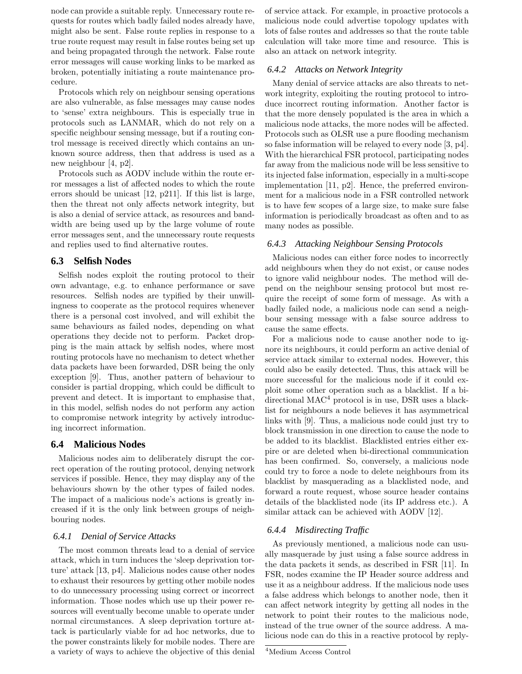node can provide a suitable reply. Unnecessary route requests for routes which badly failed nodes already have, might also be sent. False route replies in response to a true route request may result in false routes being set up and being propagated through the network. False route error messages will cause working links to be marked as broken, potentially initiating a route maintenance procedure.

Protocols which rely on neighbour sensing operations are also vulnerable, as false messages may cause nodes to 'sense' extra neighbours. This is especially true in protocols such as LANMAR, which do not rely on a specific neighbour sensing message, but if a routing control message is received directly which contains an unknown source address, then that address is used as a new neighbour [4, p2].

Protocols such as AODV include within the route error messages a list of affected nodes to which the route errors should be unicast [12, p211]. If this list is large, then the threat not only affects network integrity, but is also a denial of service attack, as resources and bandwidth are being used up by the large volume of route error messages sent, and the unnecessary route requests and replies used to find alternative routes.

## **6.3 Selfish Nodes**

Selfish nodes exploit the routing protocol to their own advantage, e.g. to enhance performance or save resources. Selfish nodes are typified by their unwillingness to cooperate as the protocol requires whenever there is a personal cost involved, and will exhibit the same behaviours as failed nodes, depending on what operations they decide not to perform. Packet dropping is the main attack by selfish nodes, where most routing protocols have no mechanism to detect whether data packets have been forwarded, DSR being the only exception [9]. Thus, another pattern of behaviour to consider is partial dropping, which could be difficult to prevent and detect. It is important to emphasise that, in this model, selfish nodes do not perform any action to compromise network integrity by actively introducing incorrect information.

## **6.4 Malicious Nodes**

Malicious nodes aim to deliberately disrupt the correct operation of the routing protocol, denying network services if possible. Hence, they may display any of the behaviours shown by the other types of failed nodes. The impact of a malicious node's actions is greatly increased if it is the only link between groups of neighbouring nodes.

#### *6.4.1 Denial of Service Attacks*

The most common threats lead to a denial of service attack, which in turn induces the 'sleep deprivation torture' attack [13, p4]. Malicious nodes cause other nodes to exhaust their resources by getting other mobile nodes to do unnecessary processing using correct or incorrect information. Those nodes which use up their power resources will eventually become unable to operate under normal circumstances. A sleep deprivation torture attack is particularly viable for ad hoc networks, due to the power constraints likely for mobile nodes. There are a variety of ways to achieve the objective of this denial of service attack. For example, in proactive protocols a malicious node could advertise topology updates with lots of false routes and addresses so that the route table calculation will take more time and resource. This is also an attack on network integrity.

#### *6.4.2 Attacks on Network Integrity*

Many denial of service attacks are also threats to network integrity, exploiting the routing protocol to introduce incorrect routing information. Another factor is that the more densely populated is the area in which a malicious node attacks, the more nodes will be affected. Protocols such as OLSR use a pure flooding mechanism so false information will be relayed to every node [3, p4]. With the hierarchical FSR protocol, participating nodes far away from the malicious node will be less sensitive to its injected false information, especially in a multi-scope implementation [11, p2]. Hence, the preferred environment for a malicious node in a FSR controlled network is to have few scopes of a large size, to make sure false information is periodically broadcast as often and to as many nodes as possible.

#### *6.4.3 Attacking Neighbour Sensing Protocols*

Malicious nodes can either force nodes to incorrectly add neighbours when they do not exist, or cause nodes to ignore valid neighbour nodes. The method will depend on the neighbour sensing protocol but most require the receipt of some form of message. As with a badly failed node, a malicious node can send a neighbour sensing message with a false source address to cause the same effects.

For a malicious node to cause another node to ignore its neighbours, it could perform an active denial of service attack similar to external nodes. However, this could also be easily detected. Thus, this attack will be more successful for the malicious node if it could exploit some other operation such as a blacklist. If a bidirectional MAC<sup>4</sup> protocol is in use, DSR uses a blacklist for neighbours a node believes it has asymmetrical links with [9]. Thus, a malicious node could just try to block transmission in one direction to cause the node to be added to its blacklist. Blacklisted entries either expire or are deleted when bi-directional communication has been confirmed. So, conversely, a malicious node could try to force a node to delete neighbours from its blacklist by masquerading as a blacklisted node, and forward a route request, whose source header contains details of the blacklisted node (its IP address etc.). A similar attack can be achieved with AODV [12].

#### *6.4.4 Misdirecting Traffic*

As previously mentioned, a malicious node can usually masquerade by just using a false source address in the data packets it sends, as described in FSR [11]. In FSR, nodes examine the IP Header source address and use it as a neighbour address. If the malicious node uses a false address which belongs to another node, then it can affect network integrity by getting all nodes in the network to point their routes to the malicious node, instead of the true owner of the source address. A malicious node can do this in a reactive protocol by reply-

<sup>4</sup>Medium Access Control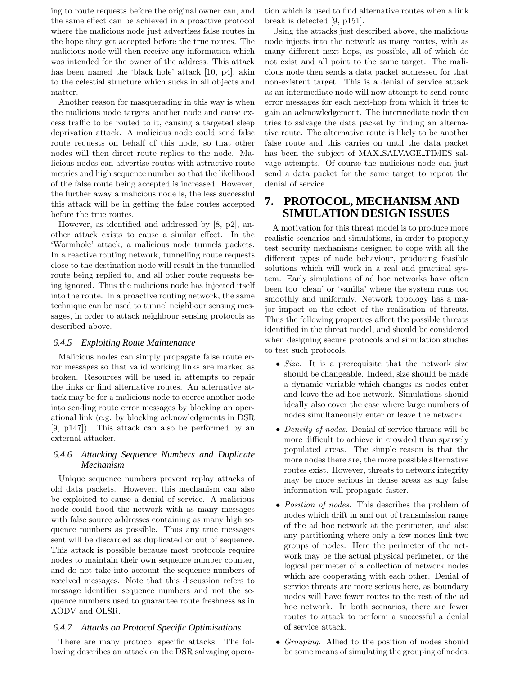ing to route requests before the original owner can, and the same effect can be achieved in a proactive protocol where the malicious node just advertises false routes in the hope they get accepted before the true routes. The malicious node will then receive any information which was intended for the owner of the address. This attack has been named the 'black hole' attack [10, p4], akin to the celestial structure which sucks in all objects and matter.

Another reason for masquerading in this way is when the malicious node targets another node and cause excess traffic to be routed to it, causing a targeted sleep deprivation attack. A malicious node could send false route requests on behalf of this node, so that other nodes will then direct route replies to the node. Malicious nodes can advertise routes with attractive route metrics and high sequence number so that the likelihood of the false route being accepted is increased. However, the further away a malicious node is, the less successful this attack will be in getting the false routes accepted before the true routes.

However, as identified and addressed by [8, p2], another attack exists to cause a similar effect. In the 'Wormhole' attack, a malicious node tunnels packets. In a reactive routing network, tunnelling route requests close to the destination node will result in the tunnelled route being replied to, and all other route requests being ignored. Thus the malicious node has injected itself into the route. In a proactive routing network, the same technique can be used to tunnel neighbour sensing messages, in order to attack neighbour sensing protocols as described above.

#### *6.4.5 Exploiting Route Maintenance*

Malicious nodes can simply propagate false route error messages so that valid working links are marked as broken. Resources will be used in attempts to repair the links or find alternative routes. An alternative attack may be for a malicious node to coerce another node into sending route error messages by blocking an operational link (e.g. by blocking acknowledgments in DSR [9, p147]). This attack can also be performed by an external attacker.

## *6.4.6 Attacking Sequence Numbers and Duplicate Mechanism*

Unique sequence numbers prevent replay attacks of old data packets. However, this mechanism can also be exploited to cause a denial of service. A malicious node could flood the network with as many messages with false source addresses containing as many high sequence numbers as possible. Thus any true messages sent will be discarded as duplicated or out of sequence. This attack is possible because most protocols require nodes to maintain their own sequence number counter, and do not take into account the sequence numbers of received messages. Note that this discussion refers to message identifier sequence numbers and not the sequence numbers used to guarantee route freshness as in AODV and OLSR.

#### *6.4.7 Attacks on Protocol Specific Optimisations*

There are many protocol specific attacks. The following describes an attack on the DSR salvaging operation which is used to find alternative routes when a link break is detected [9, p151].

Using the attacks just described above, the malicious node injects into the network as many routes, with as many different next hops, as possible, all of which do not exist and all point to the same target. The malicious node then sends a data packet addressed for that non-existent target. This is a denial of service attack as an intermediate node will now attempt to send route error messages for each next-hop from which it tries to gain an acknowledgement. The intermediate node then tries to salvage the data packet by finding an alternative route. The alternative route is likely to be another false route and this carries on until the data packet has been the subject of MAX SALVAGE TIMES salvage attempts. Of course the malicious node can just send a data packet for the same target to repeat the denial of service.

# **7. PROTOCOL, MECHANISM AND SIMULATION DESIGN ISSUES**

A motivation for this threat model is to produce more realistic scenarios and simulations, in order to properly test security mechanisms designed to cope with all the different types of node behaviour, producing feasible solutions which will work in a real and practical system. Early simulations of ad hoc networks have often been too 'clean' or 'vanilla' where the system runs too smoothly and uniformly. Network topology has a major impact on the effect of the realisation of threats. Thus the following properties affect the possible threats identified in the threat model, and should be considered when designing secure protocols and simulation studies to test such protocols.

- Size. It is a prerequisite that the network size should be changeable. Indeed, size should be made a dynamic variable which changes as nodes enter and leave the ad hoc network. Simulations should ideally also cover the case where large numbers of nodes simultaneously enter or leave the network.
- Density of nodes. Denial of service threats will be more difficult to achieve in crowded than sparsely populated areas. The simple reason is that the more nodes there are, the more possible alternative routes exist. However, threats to network integrity may be more serious in dense areas as any false information will propagate faster.
- *Position of nodes*. This describes the problem of nodes which drift in and out of transmission range of the ad hoc network at the perimeter, and also any partitioning where only a few nodes link two groups of nodes. Here the perimeter of the network may be the actual physical perimeter, or the logical perimeter of a collection of network nodes which are cooperating with each other. Denial of service threats are more serious here, as boundary nodes will have fewer routes to the rest of the ad hoc network. In both scenarios, there are fewer routes to attack to perform a successful a denial of service attack.
- Grouping. Allied to the position of nodes should be some means of simulating the grouping of nodes.